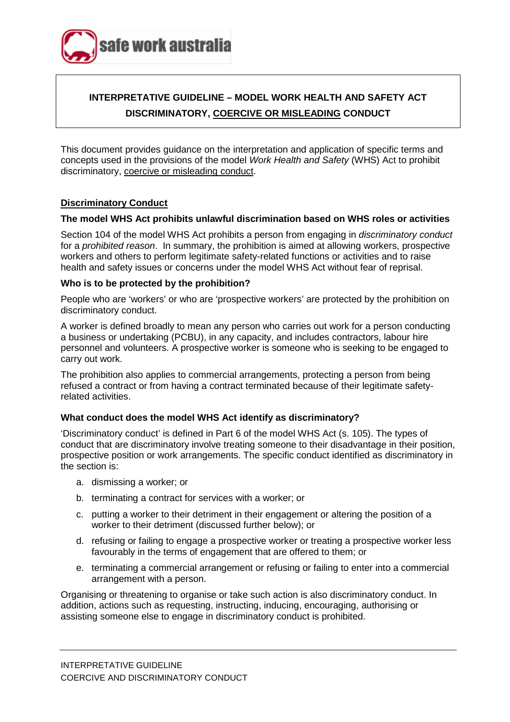

# **INTERPRETATIVE GUIDELINE – MODEL WORK HEALTH AND SAFETY ACT DISCRIMINATORY, COERCIVE OR MISLEADING CONDUCT**

This document provides guidance on the interpretation and application of specific terms and concepts used in the provisions of the model *Work Health and Safety* (WHS) Act to prohibit discriminatory, coercive or misleading conduct.

#### **Discriminatory Conduct**

#### **The model WHS Act prohibits unlawful discrimination based on WHS roles or activities**

Section 104 of the model WHS Act prohibits a person from engaging in *discriminatory conduct* for a *prohibited reason*. In summary, the prohibition is aimed at allowing workers, prospective workers and others to perform legitimate safety-related functions or activities and to raise health and safety issues or concerns under the model WHS Act without fear of reprisal.

#### **Who is to be protected by the prohibition?**

People who are 'workers' or who are 'prospective workers' are protected by the prohibition on discriminatory conduct.

A worker is defined broadly to mean any person who carries out work for a person conducting a business or undertaking (PCBU), in any capacity, and includes contractors, labour hire personnel and volunteers. A prospective worker is someone who is seeking to be engaged to carry out work.

The prohibition also applies to commercial arrangements, protecting a person from being refused a contract or from having a contract terminated because of their legitimate safetyrelated activities.

#### **What conduct does the model WHS Act identify as discriminatory?**

'Discriminatory conduct' is defined in Part 6 of the model WHS Act (s. 105). The types of conduct that are discriminatory involve treating someone to their disadvantage in their position, prospective position or work arrangements. The specific conduct identified as discriminatory in the section is:

- a. dismissing a worker; or
- b. terminating a contract for services with a worker; or
- c. putting a worker to their detriment in their engagement or altering the position of a worker to their detriment (discussed further below); or
- d. refusing or failing to engage a prospective worker or treating a prospective worker less favourably in the terms of engagement that are offered to them; or
- e. terminating a commercial arrangement or refusing or failing to enter into a commercial arrangement with a person.

Organising or threatening to organise or take such action is also discriminatory conduct. In addition, actions such as requesting, instructing, inducing, encouraging, authorising or assisting someone else to engage in discriminatory conduct is prohibited.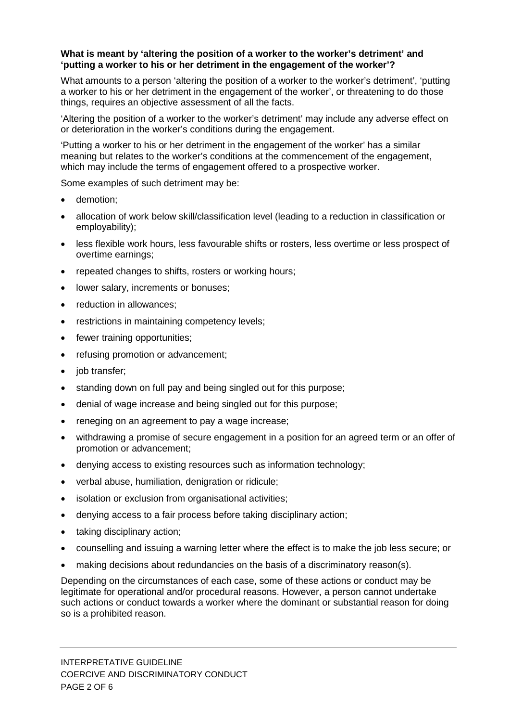### **What is meant by 'altering the position of a worker to the worker's detriment' and 'putting a worker to his or her detriment in the engagement of the worker'?**

What amounts to a person 'altering the position of a worker to the worker's detriment', 'putting a worker to his or her detriment in the engagement of the worker', or threatening to do those things, requires an objective assessment of all the facts.

'Altering the position of a worker to the worker's detriment' may include any adverse effect on or deterioration in the worker's conditions during the engagement.

'Putting a worker to his or her detriment in the engagement of the worker' has a similar meaning but relates to the worker's conditions at the commencement of the engagement, which may include the terms of engagement offered to a prospective worker.

Some examples of such detriment may be:

- demotion:
- allocation of work below skill/classification level (leading to a reduction in classification or employability);
- less flexible work hours, less favourable shifts or rosters, less overtime or less prospect of overtime earnings;
- repeated changes to shifts, rosters or working hours;
- lower salary, increments or bonuses;
- reduction in allowances;
- restrictions in maintaining competency levels;
- fewer training opportunities;
- refusing promotion or advancement;
- job transfer;
- standing down on full pay and being singled out for this purpose;
- denial of wage increase and being singled out for this purpose;
- reneging on an agreement to pay a wage increase;
- withdrawing a promise of secure engagement in a position for an agreed term or an offer of promotion or advancement;
- denying access to existing resources such as information technology;
- verbal abuse, humiliation, denigration or ridicule;
- isolation or exclusion from organisational activities;
- denying access to a fair process before taking disciplinary action;
- taking disciplinary action;
- counselling and issuing a warning letter where the effect is to make the job less secure; or
- making decisions about redundancies on the basis of a discriminatory reason(s).

Depending on the circumstances of each case, some of these actions or conduct may be legitimate for operational and/or procedural reasons. However, a person cannot undertake such actions or conduct towards a worker where the dominant or substantial reason for doing so is a prohibited reason.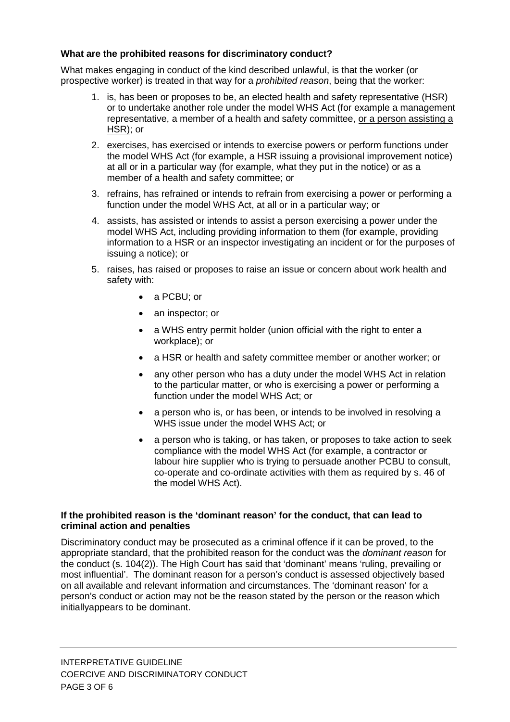# **What are the prohibited reasons for discriminatory conduct?**

What makes engaging in conduct of the kind described unlawful, is that the worker (or prospective worker) is treated in that way for a *prohibited reason*, being that the worker:

- 1. is, has been or proposes to be, an elected health and safety representative (HSR) or to undertake another role under the model WHS Act (for example a management representative, a member of a health and safety committee, or a person assisting a HSR); or
- 2. exercises, has exercised or intends to exercise powers or perform functions under the model WHS Act (for example, a HSR issuing a provisional improvement notice) at all or in a particular way (for example, what they put in the notice) or as a member of a health and safety committee; or
- 3. refrains, has refrained or intends to refrain from exercising a power or performing a function under the model WHS Act, at all or in a particular way; or
- 4. assists, has assisted or intends to assist a person exercising a power under the model WHS Act, including providing information to them (for example, providing information to a HSR or an inspector investigating an incident or for the purposes of issuing a notice); or
- 5. raises, has raised or proposes to raise an issue or concern about work health and safety with:
	- a PCBU; or
	- an inspector; or
	- a WHS entry permit holder (union official with the right to enter a workplace); or
	- a HSR or health and safety committee member or another worker; or
	- any other person who has a duty under the model WHS Act in relation to the particular matter, or who is exercising a power or performing a function under the model WHS Act; or
	- a person who is, or has been, or intends to be involved in resolving a WHS issue under the model WHS Act; or
	- a person who is taking, or has taken, or proposes to take action to seek compliance with the model WHS Act (for example, a contractor or labour hire supplier who is trying to persuade another PCBU to consult, co-operate and co-ordinate activities with them as required by s. 46 of the model WHS Act).

# **If the prohibited reason is the 'dominant reason' for the conduct, that can lead to criminal action and penalties**

Discriminatory conduct may be prosecuted as a criminal offence if it can be proved, to the appropriate standard, that the prohibited reason for the conduct was the *dominant reason* for the conduct (s. 104(2)). The High Court has said that 'dominant' means 'ruling, prevailing or most influential'. The dominant reason for a person's conduct is assessed objectively based on all available and relevant information and circumstances. The 'dominant reason' for a person's conduct or action may not be the reason stated by the person or the reason which initiallyappears to be dominant.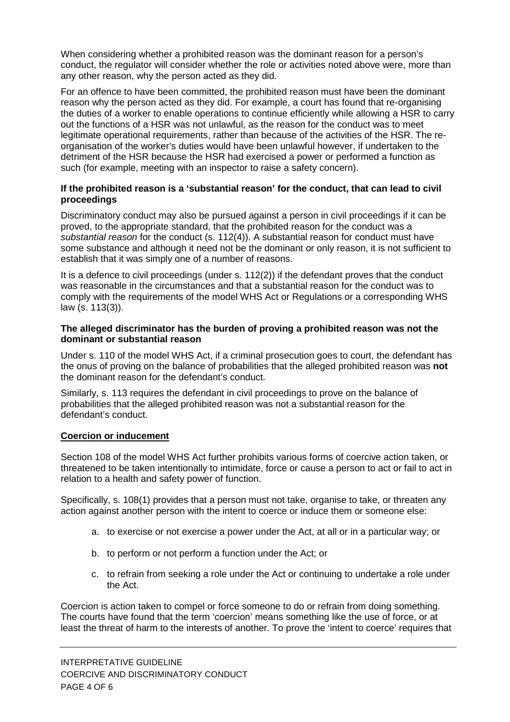When considering whether a prohibited reason was the dominant reason for a person's conduct, the regulator will consider whether the role or activities noted above were, more than any other reason, why the person acted as they did.

For an offence to have been committed, the prohibited reason must have been the dominant reason why the person acted as they did. For example, a court has found that re-organising the duties of a worker to enable operations to continue efficiently while allowing a HSR to carry out the functions of a HSR was not unlawful, as the reason for the conduct was to meet legitimate operational requirements, rather than because of the activities of the HSR. The reorganisation of the worker's duties would have been unlawful however, if undertaken to the detriment of the HSR because the HSR had exercised a power or performed a function as such (for example, meeting with an inspector to raise a safety concern).

# **If the prohibited reason is a 'substantial reason' for the conduct, that can lead to civil proceedings**

Discriminatory conduct may also be pursued against a person in civil proceedings if it can be proved, to the appropriate standard, that the prohibited reason for the conduct was a *substantial reason* for the conduct (s. 112(4)). A substantial reason for conduct must have some substance and although it need not be the dominant or only reason, it is not sufficient to establish that it was simply one of a number of reasons.

It is a defence to civil proceedings (under s. 112(2)) if the defendant proves that the conduct was reasonable in the circumstances and that a substantial reason for the conduct was to comply with the requirements of the model WHS Act or Regulations or a corresponding WHS law (s. 113(3)).

# **The alleged discriminator has the burden of proving a prohibited reason was not the dominant or substantial reason**

Under s. 110 of the model WHS Act, if a criminal prosecution goes to court, the defendant has the onus of proving on the balance of probabilities that the alleged prohibited reason was **not** the dominant reason for the defendant's conduct.

Similarly, s. 113 requires the defendant in civil proceedings to prove on the balance of probabilities that the alleged prohibited reason was not a substantial reason for the defendant's conduct.

# **Coercion or inducement**

Section 108 of the model WHS Act further prohibits various forms of coercive action taken, or threatened to be taken intentionally to intimidate, force or cause a person to act or fail to act in relation to a health and safety power of function.

Specifically, s. 108(1) provides that a person must not take, organise to take, or threaten any action against another person with the intent to coerce or induce them or someone else:

- a. to exercise or not exercise a power under the Act, at all or in a particular way; or
- b. to perform or not perform a function under the Act; or
- c. to refrain from seeking a role under the Act or continuing to undertake a role under the Act.

Coercion is action taken to compel or force someone to do or refrain from doing something. The courts have found that the term 'coercion' means something like the use of force, or at least the threat of harm to the interests of another. To prove the 'intent to coerce' requires that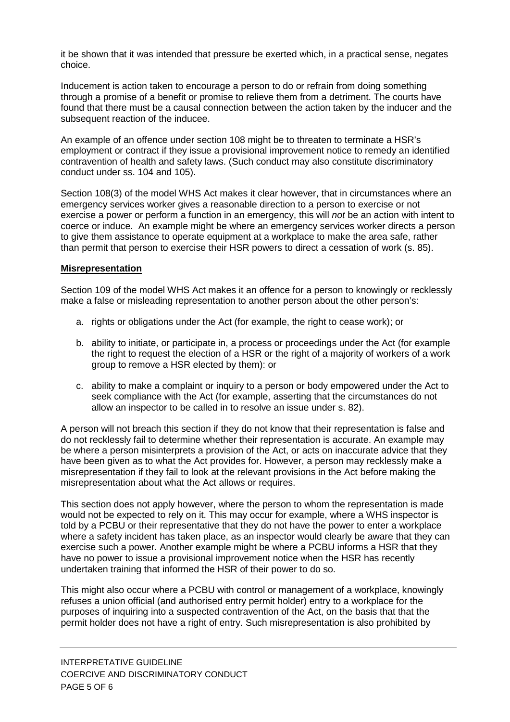it be shown that it was intended that pressure be exerted which, in a practical sense, negates choice.

Inducement is action taken to encourage a person to do or refrain from doing something through a promise of a benefit or promise to relieve them from a detriment. The courts have found that there must be a causal connection between the action taken by the inducer and the subsequent reaction of the inducee.

An example of an offence under section 108 might be to threaten to terminate a HSR's employment or contract if they issue a provisional improvement notice to remedy an identified contravention of health and safety laws. (Such conduct may also constitute discriminatory conduct under ss. 104 and 105).

Section 108(3) of the model WHS Act makes it clear however, that in circumstances where an emergency services worker gives a reasonable direction to a person to exercise or not exercise a power or perform a function in an emergency, this will *not* be an action with intent to coerce or induce. An example might be where an emergency services worker directs a person to give them assistance to operate equipment at a workplace to make the area safe, rather than permit that person to exercise their HSR powers to direct a cessation of work (s. 85).

# **Misrepresentation**

Section 109 of the model WHS Act makes it an offence for a person to knowingly or recklessly make a false or misleading representation to another person about the other person's:

- a. rights or obligations under the Act (for example, the right to cease work); or
- b. ability to initiate, or participate in, a process or proceedings under the Act (for example the right to request the election of a HSR or the right of a majority of workers of a work group to remove a HSR elected by them): or
- c. ability to make a complaint or inquiry to a person or body empowered under the Act to seek compliance with the Act (for example, asserting that the circumstances do not allow an inspector to be called in to resolve an issue under s. 82).

A person will not breach this section if they do not know that their representation is false and do not recklessly fail to determine whether their representation is accurate. An example may be where a person misinterprets a provision of the Act, or acts on inaccurate advice that they have been given as to what the Act provides for. However, a person may recklessly make a misrepresentation if they fail to look at the relevant provisions in the Act before making the misrepresentation about what the Act allows or requires.

This section does not apply however, where the person to whom the representation is made would not be expected to rely on it. This may occur for example, where a WHS inspector is told by a PCBU or their representative that they do not have the power to enter a workplace where a safety incident has taken place, as an inspector would clearly be aware that they can exercise such a power. Another example might be where a PCBU informs a HSR that they have no power to issue a provisional improvement notice when the HSR has recently undertaken training that informed the HSR of their power to do so.

This might also occur where a PCBU with control or management of a workplace, knowingly refuses a union official (and authorised entry permit holder) entry to a workplace for the purposes of inquiring into a suspected contravention of the Act, on the basis that that the permit holder does not have a right of entry. Such misrepresentation is also prohibited by